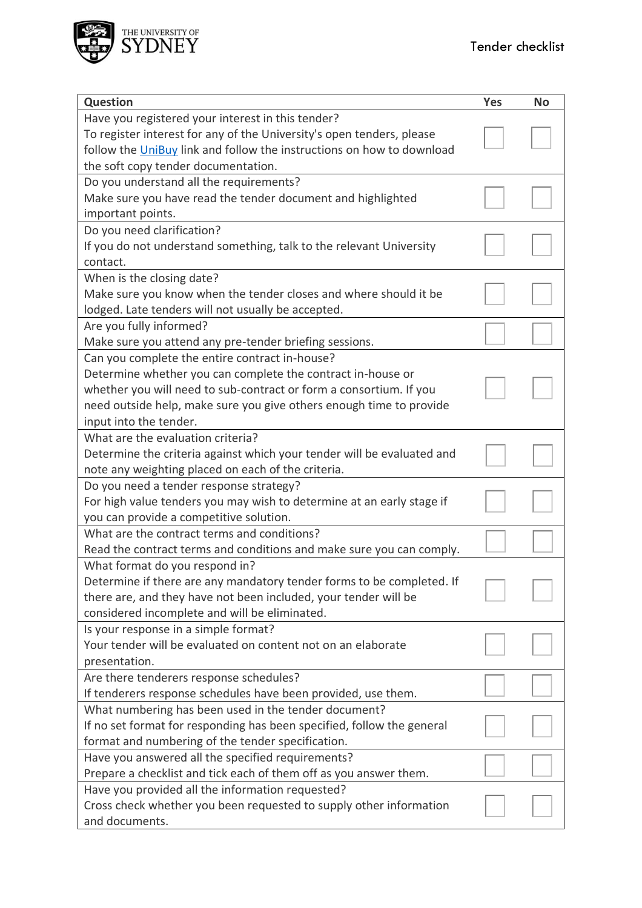

| <b>Question</b>                                                                                                            | <b>Yes</b> | <b>No</b> |
|----------------------------------------------------------------------------------------------------------------------------|------------|-----------|
| Have you registered your interest in this tender?<br>To register interest for any of the University's open tenders, please |            |           |
| follow the UniBuy link and follow the instructions on how to download                                                      |            |           |
| the soft copy tender documentation.                                                                                        |            |           |
| Do you understand all the requirements?                                                                                    |            |           |
| Make sure you have read the tender document and highlighted                                                                |            |           |
| important points.                                                                                                          |            |           |
| Do you need clarification?                                                                                                 |            |           |
| If you do not understand something, talk to the relevant University                                                        |            |           |
| contact.                                                                                                                   |            |           |
| When is the closing date?                                                                                                  |            |           |
| Make sure you know when the tender closes and where should it be                                                           |            |           |
| lodged. Late tenders will not usually be accepted.                                                                         |            |           |
| Are you fully informed?                                                                                                    |            |           |
| Make sure you attend any pre-tender briefing sessions.                                                                     |            |           |
| Can you complete the entire contract in-house?                                                                             |            |           |
| Determine whether you can complete the contract in-house or                                                                |            |           |
| whether you will need to sub-contract or form a consortium. If you                                                         |            |           |
| need outside help, make sure you give others enough time to provide                                                        |            |           |
| input into the tender.                                                                                                     |            |           |
| What are the evaluation criteria?                                                                                          |            |           |
| Determine the criteria against which your tender will be evaluated and                                                     |            |           |
| note any weighting placed on each of the criteria.                                                                         |            |           |
| Do you need a tender response strategy?                                                                                    |            |           |
| For high value tenders you may wish to determine at an early stage if                                                      |            |           |
| you can provide a competitive solution.                                                                                    |            |           |
| What are the contract terms and conditions?                                                                                |            |           |
| Read the contract terms and conditions and make sure you can comply.                                                       |            |           |
| What format do you respond in?                                                                                             |            |           |
| Determine if there are any mandatory tender forms to be completed. If                                                      |            |           |
| there are, and they have not been included, your tender will be                                                            |            |           |
| considered incomplete and will be eliminated.                                                                              |            |           |
| Is your response in a simple format?                                                                                       |            |           |
| Your tender will be evaluated on content not on an elaborate                                                               |            |           |
| presentation.                                                                                                              |            |           |
| Are there tenderers response schedules?                                                                                    |            |           |
| If tenderers response schedules have been provided, use them.                                                              |            |           |
| What numbering has been used in the tender document?                                                                       |            |           |
| If no set format for responding has been specified, follow the general                                                     |            |           |
| format and numbering of the tender specification.                                                                          |            |           |
| Have you answered all the specified requirements?                                                                          |            |           |
| Prepare a checklist and tick each of them off as you answer them.                                                          |            |           |
| Have you provided all the information requested?                                                                           |            |           |
| Cross check whether you been requested to supply other information                                                         |            |           |
| and documents.                                                                                                             |            |           |